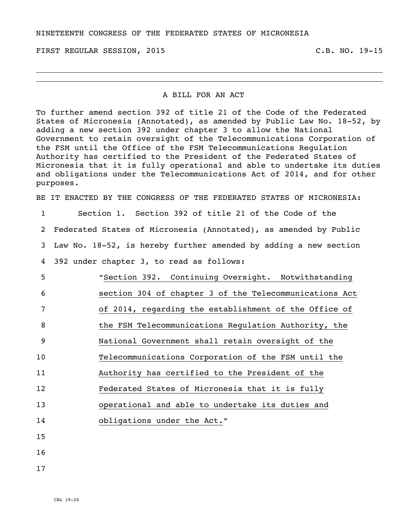FIRST REGULAR SESSION, 2015 C.B. NO. 19-15

## A BILL FOR AN ACT

To further amend section 392 of title 21 of the Code of the Federated States of Micronesia (Annotated), as amended by Public Law No. 18-52, by adding a new section 392 under chapter 3 to allow the National Government to retain oversight of the Telecommunications Corporation of the FSM until the Office of the FSM Telecommunications Regulation Authority has certified to the President of the Federated States of Micronesia that it is fully operational and able to undertake its duties and obligations under the Telecommunications Act of 2014, and for other purposes.

BE IT ENACTED BY THE CONGRESS OF THE FEDERATED STATES OF MICRONESIA:

 Section 1. Section 392 of title 21 of the Code of the Federated States of Micronesia (Annotated), as amended by Public Law No. 18-52, is hereby further amended by adding a new section 392 under chapter 3, to read as follows: "Section 392. Continuing Oversight. Notwithstanding section 304 of chapter 3 of the Telecommunications Act of 2014, regarding the establishment of the Office of 8 the FSM Telecommunications Regulation Authority, the National Government shall retain oversight of the Telecommunications Corporation of the FSM until the Authority has certified to the President of the Federated States of Micronesia that it is fully operational and able to undertake its duties and 14 obligations under the Act." 15 16

17